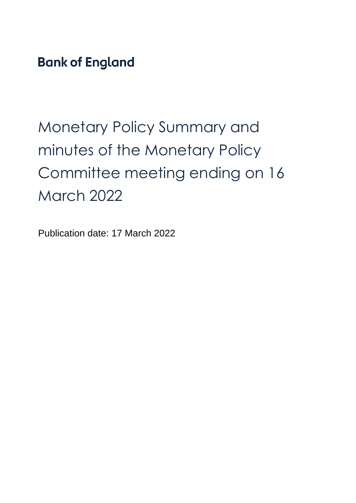**Bank of England** 

# Monetary Policy Summary and minutes of the Monetary Policy Committee meeting ending on 16 March 2022

Publication date: 17 March 2022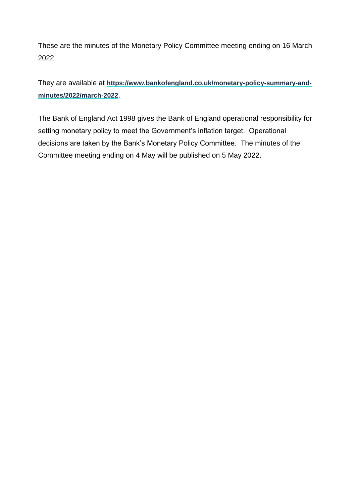These are the minutes of the Monetary Policy Committee meeting ending on 16 March 2022.

They are available at **[https://www.bankofengland.co.uk/monetary-policy-summary-and](https://www.bankofengland.co.uk/monetary-policy-summary-and-minutes/2022/march-2022)[minutes/2022/march-2022](https://www.bankofengland.co.uk/monetary-policy-summary-and-minutes/2022/march-2022)**.

The Bank of England Act 1998 gives the Bank of England operational responsibility for setting monetary policy to meet the Government's inflation target. Operational decisions are taken by the Bank's Monetary Policy Committee. The minutes of the Committee meeting ending on 4 May will be published on 5 May 2022.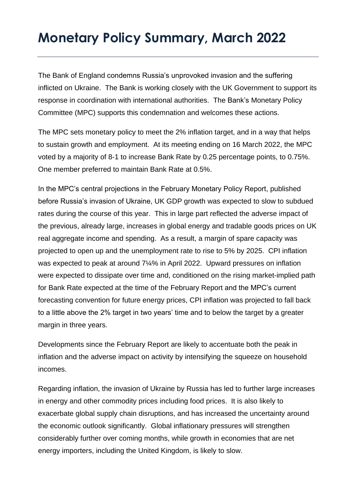### **Monetary Policy Summary, March 2022**

The Bank of England condemns Russia's unprovoked invasion and the suffering inflicted on Ukraine. The Bank is working closely with the UK Government to support its response in coordination with international authorities. The Bank's Monetary Policy Committee (MPC) supports this condemnation and welcomes these actions.

The MPC sets monetary policy to meet the 2% inflation target, and in a way that helps to sustain growth and employment. At its meeting ending on 16 March 2022, the MPC voted by a majority of 8-1 to increase Bank Rate by 0.25 percentage points, to 0.75%. One member preferred to maintain Bank Rate at 0.5%.

In the MPC's central projections in the February Monetary Policy Report, published before Russia's invasion of Ukraine, UK GDP growth was expected to slow to subdued rates during the course of this year. This in large part reflected the adverse impact of the previous, already large, increases in global energy and tradable goods prices on UK real aggregate income and spending. As a result, a margin of spare capacity was projected to open up and the unemployment rate to rise to 5% by 2025. CPI inflation was expected to peak at around 7¼% in April 2022. Upward pressures on inflation were expected to dissipate over time and, conditioned on the rising market-implied path for Bank Rate expected at the time of the February Report and the MPC's current forecasting convention for future energy prices, CPI inflation was projected to fall back to a little above the 2% target in two years' time and to below the target by a greater margin in three years.

Developments since the February Report are likely to accentuate both the peak in inflation and the adverse impact on activity by intensifying the squeeze on household incomes.

Regarding inflation, the invasion of Ukraine by Russia has led to further large increases in energy and other commodity prices including food prices. It is also likely to exacerbate global supply chain disruptions, and has increased the uncertainty around the economic outlook significantly. Global inflationary pressures will strengthen considerably further over coming months, while growth in economies that are net energy importers, including the United Kingdom, is likely to slow.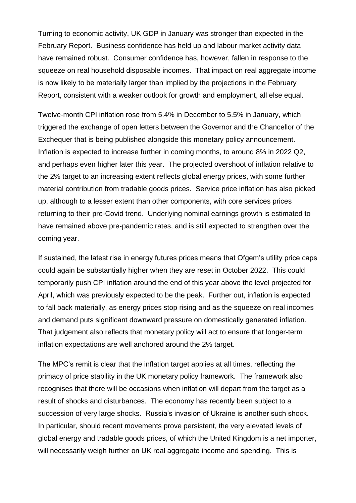Turning to economic activity, UK GDP in January was stronger than expected in the February Report. Business confidence has held up and labour market activity data have remained robust. Consumer confidence has, however, fallen in response to the squeeze on real household disposable incomes. That impact on real aggregate income is now likely to be materially larger than implied by the projections in the February Report, consistent with a weaker outlook for growth and employment, all else equal.

Twelve-month CPI inflation rose from 5.4% in December to 5.5% in January, which triggered the exchange of open letters between the Governor and the Chancellor of the Exchequer that is being published alongside this monetary policy announcement. Inflation is expected to increase further in coming months, to around 8% in 2022 Q2, and perhaps even higher later this year. The projected overshoot of inflation relative to the 2% target to an increasing extent reflects global energy prices, with some further material contribution from tradable goods prices. Service price inflation has also picked up, although to a lesser extent than other components, with core services prices returning to their pre-Covid trend. Underlying nominal earnings growth is estimated to have remained above pre-pandemic rates, and is still expected to strengthen over the coming year.

If sustained, the latest rise in energy futures prices means that Ofgem's utility price caps could again be substantially higher when they are reset in October 2022. This could temporarily push CPI inflation around the end of this year above the level projected for April, which was previously expected to be the peak. Further out, inflation is expected to fall back materially, as energy prices stop rising and as the squeeze on real incomes and demand puts significant downward pressure on domestically generated inflation. That judgement also reflects that monetary policy will act to ensure that longer-term inflation expectations are well anchored around the 2% target.

The MPC's remit is clear that the inflation target applies at all times, reflecting the primacy of price stability in the UK monetary policy framework. The framework also recognises that there will be occasions when inflation will depart from the target as a result of shocks and disturbances. The economy has recently been subject to a succession of very large shocks. Russia's invasion of Ukraine is another such shock. In particular, should recent movements prove persistent, the very elevated levels of global energy and tradable goods prices, of which the United Kingdom is a net importer, will necessarily weigh further on UK real aggregate income and spending. This is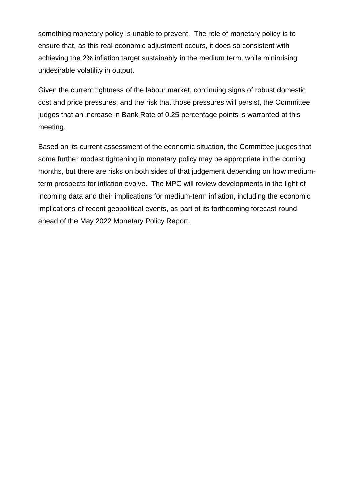something monetary policy is unable to prevent. The role of monetary policy is to ensure that, as this real economic adjustment occurs, it does so consistent with achieving the 2% inflation target sustainably in the medium term, while minimising undesirable volatility in output.

Given the current tightness of the labour market, continuing signs of robust domestic cost and price pressures, and the risk that those pressures will persist, the Committee judges that an increase in Bank Rate of 0.25 percentage points is warranted at this meeting.

Based on its current assessment of the economic situation, the Committee judges that some further modest tightening in monetary policy may be appropriate in the coming months, but there are risks on both sides of that judgement depending on how mediumterm prospects for inflation evolve. The MPC will review developments in the light of incoming data and their implications for medium-term inflation, including the economic implications of recent geopolitical events, as part of its forthcoming forecast round ahead of the May 2022 Monetary Policy Report.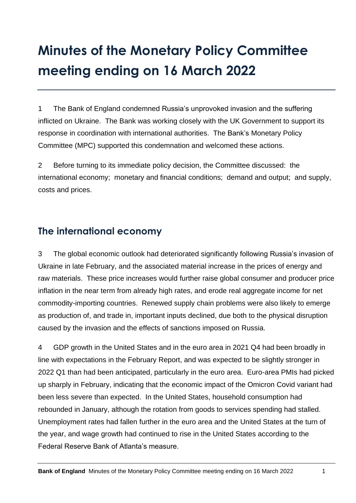## **Minutes of the Monetary Policy Committee meeting ending on 16 March 2022**

1 The Bank of England condemned Russia's unprovoked invasion and the suffering inflicted on Ukraine. The Bank was working closely with the UK Government to support its response in coordination with international authorities. The Bank's Monetary Policy Committee (MPC) supported this condemnation and welcomed these actions.

2 Before turning to its immediate policy decision, the Committee discussed: the international economy; monetary and financial conditions; demand and output; and supply, costs and prices.

#### **The international economy**

3 The global economic outlook had deteriorated significantly following Russia's invasion of Ukraine in late February, and the associated material increase in the prices of energy and raw materials. These price increases would further raise global consumer and producer price inflation in the near term from already high rates, and erode real aggregate income for net commodity-importing countries. Renewed supply chain problems were also likely to emerge as production of, and trade in, important inputs declined, due both to the physical disruption caused by the invasion and the effects of sanctions imposed on Russia.

4 GDP growth in the United States and in the euro area in 2021 Q4 had been broadly in line with expectations in the February Report, and was expected to be slightly stronger in 2022 Q1 than had been anticipated, particularly in the euro area. Euro-area PMIs had picked up sharply in February, indicating that the economic impact of the Omicron Covid variant had been less severe than expected. In the United States, household consumption had rebounded in January, although the rotation from goods to services spending had stalled. Unemployment rates had fallen further in the euro area and the United States at the turn of the year, and wage growth had continued to rise in the United States according to the Federal Reserve Bank of Atlanta's measure.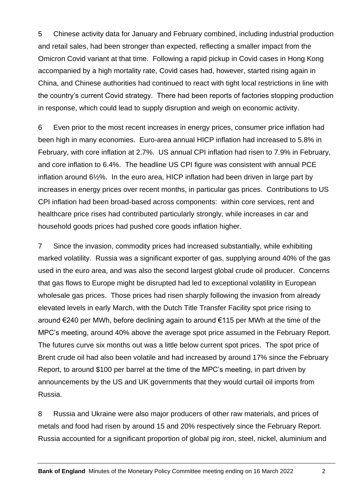5 Chinese activity data for January and February combined, including industrial production and retail sales, had been stronger than expected, reflecting a smaller impact from the Omicron Covid variant at that time. Following a rapid pickup in Covid cases in Hong Kong accompanied by a high mortality rate, Covid cases had, however, started rising again in China, and Chinese authorities had continued to react with tight local restrictions in line with the country's current Covid strategy. There had been reports of factories stopping production in response, which could lead to supply disruption and weigh on economic activity.

6 Even prior to the most recent increases in energy prices, consumer price inflation had been high in many economies. Euro-area annual HICP inflation had increased to 5.8% in February, with core inflation at 2.7%. US annual CPI inflation had risen to 7.9% in February, and core inflation to 6.4%. The headline US CPI figure was consistent with annual PCE inflation around 6½%. In the euro area, HICP inflation had been driven in large part by increases in energy prices over recent months, in particular gas prices. Contributions to US CPI inflation had been broad-based across components: within core services, rent and healthcare price rises had contributed particularly strongly, while increases in car and household goods prices had pushed core goods inflation higher.

7 Since the invasion, commodity prices had increased substantially, while exhibiting marked volatility. Russia was a significant exporter of gas, supplying around 40% of the gas used in the euro area, and was also the second largest global crude oil producer. Concerns that gas flows to Europe might be disrupted had led to exceptional volatility in European wholesale gas prices. Those prices had risen sharply following the invasion from already elevated levels in early March, with the Dutch Title Transfer Facility spot price rising to around €240 per MWh, before declining again to around €115 per MWh at the time of the MPC's meeting, around 40% above the average spot price assumed in the February Report. The futures curve six months out was a little below current spot prices. The spot price of Brent crude oil had also been volatile and had increased by around 17% since the February Report, to around \$100 per barrel at the time of the MPC's meeting, in part driven by announcements by the US and UK governments that they would curtail oil imports from Russia.

8 Russia and Ukraine were also major producers of other raw materials, and prices of metals and food had risen by around 15 and 20% respectively since the February Report. Russia accounted for a significant proportion of global pig iron, steel, nickel, aluminium and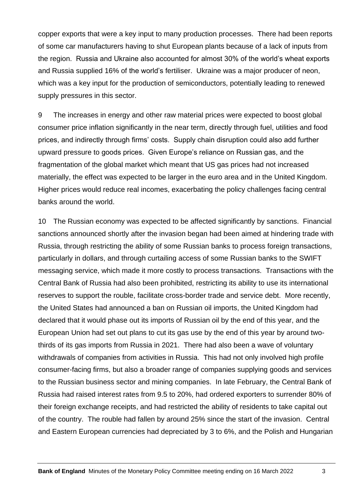copper exports that were a key input to many production processes. There had been reports of some car manufacturers having to shut European plants because of a lack of inputs from the region. Russia and Ukraine also accounted for almost 30% of the world's wheat exports and Russia supplied 16% of the world's fertiliser. Ukraine was a major producer of neon, which was a key input for the production of semiconductors, potentially leading to renewed supply pressures in this sector.

9 The increases in energy and other raw material prices were expected to boost global consumer price inflation significantly in the near term, directly through fuel, utilities and food prices, and indirectly through firms' costs. Supply chain disruption could also add further upward pressure to goods prices. Given Europe's reliance on Russian gas, and the fragmentation of the global market which meant that US gas prices had not increased materially, the effect was expected to be larger in the euro area and in the United Kingdom. Higher prices would reduce real incomes, exacerbating the policy challenges facing central banks around the world.

10 The Russian economy was expected to be affected significantly by sanctions. Financial sanctions announced shortly after the invasion began had been aimed at hindering trade with Russia, through restricting the ability of some Russian banks to process foreign transactions, particularly in dollars, and through curtailing access of some Russian banks to the SWIFT messaging service, which made it more costly to process transactions. Transactions with the Central Bank of Russia had also been prohibited, restricting its ability to use its international reserves to support the rouble, facilitate cross-border trade and service debt. More recently, the United States had announced a ban on Russian oil imports, the United Kingdom had declared that it would phase out its imports of Russian oil by the end of this year, and the European Union had set out plans to cut its gas use by the end of this year by around twothirds of its gas imports from Russia in 2021. There had also been a wave of voluntary withdrawals of companies from activities in Russia. This had not only involved high profile consumer-facing firms, but also a broader range of companies supplying goods and services to the Russian business sector and mining companies. In late February, the Central Bank of Russia had raised interest rates from 9.5 to 20%, had ordered exporters to surrender 80% of their foreign exchange receipts, and had restricted the ability of residents to take capital out of the country. The rouble had fallen by around 25% since the start of the invasion. Central and Eastern European currencies had depreciated by 3 to 6%, and the Polish and Hungarian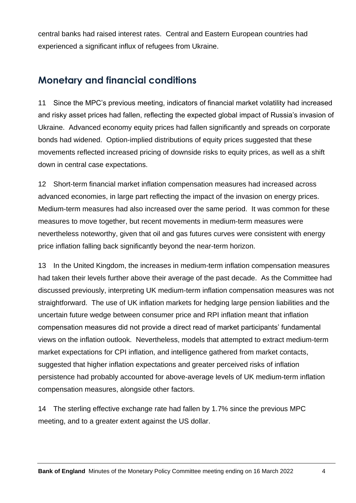central banks had raised interest rates. Central and Eastern European countries had experienced a significant influx of refugees from Ukraine.

#### **Monetary and financial conditions**

11 Since the MPC's previous meeting, indicators of financial market volatility had increased and risky asset prices had fallen, reflecting the expected global impact of Russia's invasion of Ukraine. Advanced economy equity prices had fallen significantly and spreads on corporate bonds had widened. Option-implied distributions of equity prices suggested that these movements reflected increased pricing of downside risks to equity prices, as well as a shift down in central case expectations.

12 Short-term financial market inflation compensation measures had increased across advanced economies, in large part reflecting the impact of the invasion on energy prices. Medium-term measures had also increased over the same period. It was common for these measures to move together, but recent movements in medium-term measures were nevertheless noteworthy, given that oil and gas futures curves were consistent with energy price inflation falling back significantly beyond the near-term horizon.

13 In the United Kingdom, the increases in medium-term inflation compensation measures had taken their levels further above their average of the past decade. As the Committee had discussed previously, interpreting UK medium-term inflation compensation measures was not straightforward. The use of UK inflation markets for hedging large pension liabilities and the uncertain future wedge between consumer price and RPI inflation meant that inflation compensation measures did not provide a direct read of market participants' fundamental views on the inflation outlook. Nevertheless, models that attempted to extract medium-term market expectations for CPI inflation, and intelligence gathered from market contacts, suggested that higher inflation expectations and greater perceived risks of inflation persistence had probably accounted for above-average levels of UK medium-term inflation compensation measures, alongside other factors.

14 The sterling effective exchange rate had fallen by 1.7% since the previous MPC meeting, and to a greater extent against the US dollar.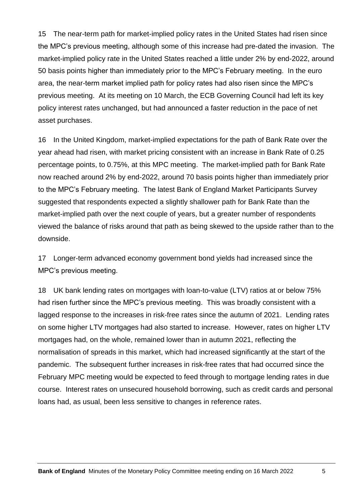15 The near-term path for market-implied policy rates in the United States had risen since the MPC's previous meeting, although some of this increase had pre-dated the invasion. The market-implied policy rate in the United States reached a little under 2% by end-2022, around 50 basis points higher than immediately prior to the MPC's February meeting. In the euro area, the near-term market implied path for policy rates had also risen since the MPC's previous meeting. At its meeting on 10 March, the ECB Governing Council had left its key policy interest rates unchanged, but had announced a faster reduction in the pace of net asset purchases.

16 In the United Kingdom, market-implied expectations for the path of Bank Rate over the year ahead had risen, with market pricing consistent with an increase in Bank Rate of 0.25 percentage points, to 0.75%, at this MPC meeting. The market-implied path for Bank Rate now reached around 2% by end-2022, around 70 basis points higher than immediately prior to the MPC's February meeting. The latest Bank of England Market Participants Survey suggested that respondents expected a slightly shallower path for Bank Rate than the market-implied path over the next couple of years, but a greater number of respondents viewed the balance of risks around that path as being skewed to the upside rather than to the downside.

17 Longer-term advanced economy government bond yields had increased since the MPC's previous meeting.

18 UK bank lending rates on mortgages with loan-to-value (LTV) ratios at or below 75% had risen further since the MPC's previous meeting. This was broadly consistent with a lagged response to the increases in risk-free rates since the autumn of 2021. Lending rates on some higher LTV mortgages had also started to increase. However, rates on higher LTV mortgages had, on the whole, remained lower than in autumn 2021, reflecting the normalisation of spreads in this market, which had increased significantly at the start of the pandemic. The subsequent further increases in risk-free rates that had occurred since the February MPC meeting would be expected to feed through to mortgage lending rates in due course. Interest rates on unsecured household borrowing, such as credit cards and personal loans had, as usual, been less sensitive to changes in reference rates.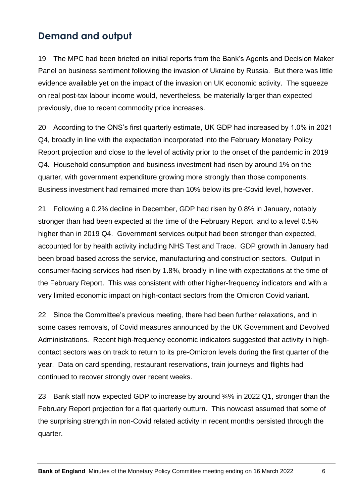#### **Demand and output**

19 The MPC had been briefed on initial reports from the Bank's Agents and Decision Maker Panel on business sentiment following the invasion of Ukraine by Russia. But there was little evidence available yet on the impact of the invasion on UK economic activity. The squeeze on real post-tax labour income would, nevertheless, be materially larger than expected previously, due to recent commodity price increases.

20 According to the ONS's first quarterly estimate, UK GDP had increased by 1.0% in 2021 Q4, broadly in line with the expectation incorporated into the February Monetary Policy Report projection and close to the level of activity prior to the onset of the pandemic in 2019 Q4. Household consumption and business investment had risen by around 1% on the quarter, with government expenditure growing more strongly than those components. Business investment had remained more than 10% below its pre-Covid level, however.

21 Following a 0.2% decline in December, GDP had risen by 0.8% in January, notably stronger than had been expected at the time of the February Report, and to a level 0.5% higher than in 2019 Q4. Government services output had been stronger than expected, accounted for by health activity including NHS Test and Trace. GDP growth in January had been broad based across the service, manufacturing and construction sectors. Output in consumer-facing services had risen by 1.8%, broadly in line with expectations at the time of the February Report. This was consistent with other higher-frequency indicators and with a very limited economic impact on high-contact sectors from the Omicron Covid variant.

22 Since the Committee's previous meeting, there had been further relaxations, and in some cases removals, of Covid measures announced by the UK Government and Devolved Administrations. Recent high-frequency economic indicators suggested that activity in highcontact sectors was on track to return to its pre-Omicron levels during the first quarter of the year. Data on card spending, restaurant reservations, train journeys and flights had continued to recover strongly over recent weeks.

23 Bank staff now expected GDP to increase by around ¾% in 2022 Q1, stronger than the February Report projection for a flat quarterly outturn. This nowcast assumed that some of the surprising strength in non-Covid related activity in recent months persisted through the quarter.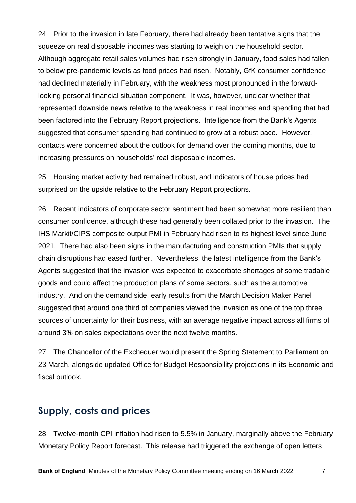24 Prior to the invasion in late February, there had already been tentative signs that the squeeze on real disposable incomes was starting to weigh on the household sector. Although aggregate retail sales volumes had risen strongly in January, food sales had fallen to below pre-pandemic levels as food prices had risen. Notably, GfK consumer confidence had declined materially in February, with the weakness most pronounced in the forwardlooking personal financial situation component. It was, however, unclear whether that represented downside news relative to the weakness in real incomes and spending that had been factored into the February Report projections. Intelligence from the Bank's Agents suggested that consumer spending had continued to grow at a robust pace. However, contacts were concerned about the outlook for demand over the coming months, due to increasing pressures on households' real disposable incomes.

25 Housing market activity had remained robust, and indicators of house prices had surprised on the upside relative to the February Report projections.

26 Recent indicators of corporate sector sentiment had been somewhat more resilient than consumer confidence, although these had generally been collated prior to the invasion. The IHS Markit/CIPS composite output PMI in February had risen to its highest level since June 2021. There had also been signs in the manufacturing and construction PMIs that supply chain disruptions had eased further. Nevertheless, the latest intelligence from the Bank's Agents suggested that the invasion was expected to exacerbate shortages of some tradable goods and could affect the production plans of some sectors, such as the automotive industry. And on the demand side, early results from the March Decision Maker Panel suggested that around one third of companies viewed the invasion as one of the top three sources of uncertainty for their business, with an average negative impact across all firms of around 3% on sales expectations over the next twelve months.

27 The Chancellor of the Exchequer would present the Spring Statement to Parliament on 23 March, alongside updated Office for Budget Responsibility projections in its Economic and fiscal outlook.

#### **Supply, costs and prices**

28 Twelve-month CPI inflation had risen to 5.5% in January, marginally above the February Monetary Policy Report forecast. This release had triggered the exchange of open letters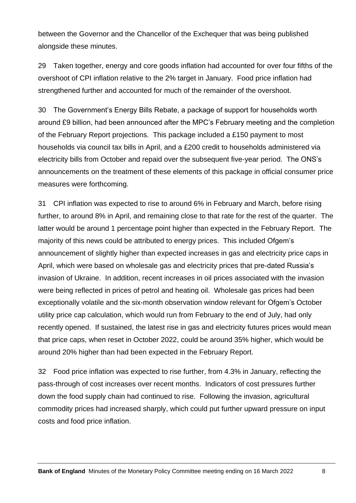between the Governor and the Chancellor of the Exchequer that was being published alongside these minutes.

29 Taken together, energy and core goods inflation had accounted for over four fifths of the overshoot of CPI inflation relative to the 2% target in January. Food price inflation had strengthened further and accounted for much of the remainder of the overshoot.

30 The Government's Energy Bills Rebate, a package of support for households worth around £9 billion, had been announced after the MPC's February meeting and the completion of the February Report projections. This package included a £150 payment to most households via council tax bills in April, and a £200 credit to households administered via electricity bills from October and repaid over the subsequent five-year period. The ONS's announcements on the treatment of these elements of this package in official consumer price measures were forthcoming.

31 CPI inflation was expected to rise to around 6% in February and March, before rising further, to around 8% in April, and remaining close to that rate for the rest of the quarter. The latter would be around 1 percentage point higher than expected in the February Report. The majority of this news could be attributed to energy prices. This included Ofgem's announcement of slightly higher than expected increases in gas and electricity price caps in April, which were based on wholesale gas and electricity prices that pre-dated Russia's invasion of Ukraine. In addition, recent increases in oil prices associated with the invasion were being reflected in prices of petrol and heating oil. Wholesale gas prices had been exceptionally volatile and the six-month observation window relevant for Ofgem's October utility price cap calculation, which would run from February to the end of July, had only recently opened. If sustained, the latest rise in gas and electricity futures prices would mean that price caps, when reset in October 2022, could be around 35% higher, which would be around 20% higher than had been expected in the February Report.

32 Food price inflation was expected to rise further, from 4.3% in January, reflecting the pass-through of cost increases over recent months. Indicators of cost pressures further down the food supply chain had continued to rise. Following the invasion, agricultural commodity prices had increased sharply, which could put further upward pressure on input costs and food price inflation.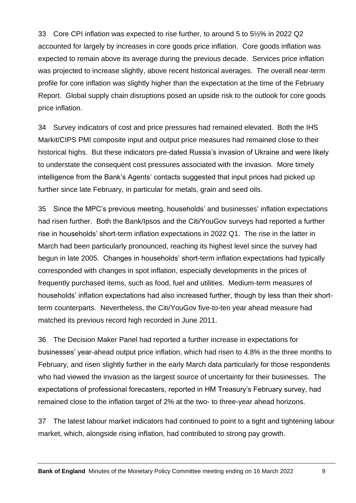33 Core CPI inflation was expected to rise further, to around 5 to 5½% in 2022 Q2 accounted for largely by increases in core goods price inflation. Core goods inflation was expected to remain above its average during the previous decade. Services price inflation was projected to increase slightly, above recent historical averages. The overall near-term profile for core inflation was slightly higher than the expectation at the time of the February Report. Global supply chain disruptions posed an upside risk to the outlook for core goods price inflation.

34 Survey indicators of cost and price pressures had remained elevated. Both the IHS Markit/CIPS PMI composite input and output price measures had remained close to their historical highs. But these indicators pre-dated Russia's invasion of Ukraine and were likely to understate the consequent cost pressures associated with the invasion. More timely intelligence from the Bank's Agents' contacts suggested that input prices had picked up further since late February, in particular for metals, grain and seed oils.

35 Since the MPC's previous meeting, households' and businesses' inflation expectations had risen further. Both the Bank/Ipsos and the Citi/YouGov surveys had reported a further rise in households' short-term inflation expectations in 2022 Q1. The rise in the latter in March had been particularly pronounced, reaching its highest level since the survey had begun in late 2005. Changes in households' short-term inflation expectations had typically corresponded with changes in spot inflation, especially developments in the prices of frequently purchased items, such as food, fuel and utilities. Medium-term measures of households' inflation expectations had also increased further, though by less than their shortterm counterparts. Nevertheless, the Citi/YouGov five-to-ten year ahead measure had matched its previous record high recorded in June 2011.

36 The Decision Maker Panel had reported a further increase in expectations for businesses' year-ahead output price inflation, which had risen to 4.8% in the three months to February, and risen slightly further in the early March data particularly for those respondents who had viewed the invasion as the largest source of uncertainty for their businesses. The expectations of professional forecasters, reported in HM Treasury's February survey, had remained close to the inflation target of 2% at the two- to three-year ahead horizons.

37 The latest labour market indicators had continued to point to a tight and tightening labour market, which, alongside rising inflation, had contributed to strong pay growth.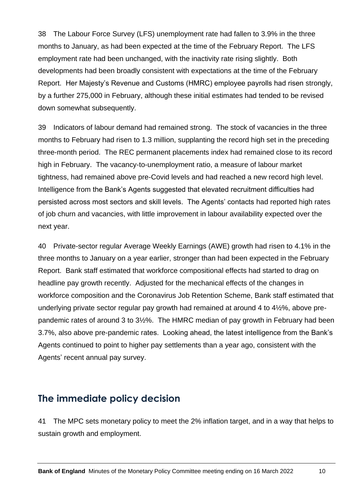38 The Labour Force Survey (LFS) unemployment rate had fallen to 3.9% in the three months to January, as had been expected at the time of the February Report. The LFS employment rate had been unchanged, with the inactivity rate rising slightly. Both developments had been broadly consistent with expectations at the time of the February Report. Her Majesty's Revenue and Customs (HMRC) employee payrolls had risen strongly, by a further 275,000 in February, although these initial estimates had tended to be revised down somewhat subsequently.

39 Indicators of labour demand had remained strong. The stock of vacancies in the three months to February had risen to 1.3 million, supplanting the record high set in the preceding three-month period. The REC permanent placements index had remained close to its record high in February. The vacancy-to-unemployment ratio, a measure of labour market tightness, had remained above pre-Covid levels and had reached a new record high level. Intelligence from the Bank's Agents suggested that elevated recruitment difficulties had persisted across most sectors and skill levels. The Agents' contacts had reported high rates of job churn and vacancies, with little improvement in labour availability expected over the next year.

40 Private-sector regular Average Weekly Earnings (AWE) growth had risen to 4.1% in the three months to January on a year earlier, stronger than had been expected in the February Report. Bank staff estimated that workforce compositional effects had started to drag on headline pay growth recently. Adjusted for the mechanical effects of the changes in workforce composition and the Coronavirus Job Retention Scheme, Bank staff estimated that underlying private sector regular pay growth had remained at around 4 to 4½%, above prepandemic rates of around 3 to 3½%. The HMRC median of pay growth in February had been 3.7%, also above pre-pandemic rates. Looking ahead, the latest intelligence from the Bank's Agents continued to point to higher pay settlements than a year ago, consistent with the Agents' recent annual pay survey.

#### **The immediate policy decision**

41 The MPC sets monetary policy to meet the 2% inflation target, and in a way that helps to sustain growth and employment.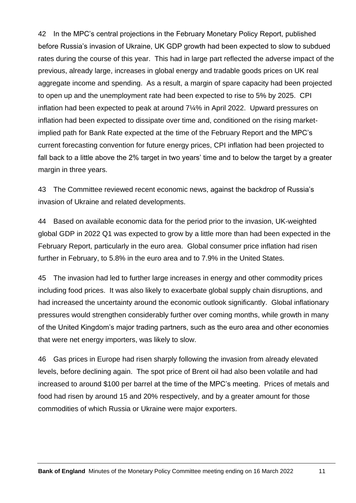42 In the MPC's central projections in the February Monetary Policy Report, published before Russia's invasion of Ukraine, UK GDP growth had been expected to slow to subdued rates during the course of this year. This had in large part reflected the adverse impact of the previous, already large, increases in global energy and tradable goods prices on UK real aggregate income and spending. As a result, a margin of spare capacity had been projected to open up and the unemployment rate had been expected to rise to 5% by 2025. CPI inflation had been expected to peak at around 7¼% in April 2022. Upward pressures on inflation had been expected to dissipate over time and, conditioned on the rising marketimplied path for Bank Rate expected at the time of the February Report and the MPC's current forecasting convention for future energy prices, CPI inflation had been projected to fall back to a little above the 2% target in two years' time and to below the target by a greater margin in three years.

43 The Committee reviewed recent economic news, against the backdrop of Russia's invasion of Ukraine and related developments.

44 Based on available economic data for the period prior to the invasion, UK-weighted global GDP in 2022 Q1 was expected to grow by a little more than had been expected in the February Report, particularly in the euro area. Global consumer price inflation had risen further in February, to 5.8% in the euro area and to 7.9% in the United States.

45 The invasion had led to further large increases in energy and other commodity prices including food prices. It was also likely to exacerbate global supply chain disruptions, and had increased the uncertainty around the economic outlook significantly. Global inflationary pressures would strengthen considerably further over coming months, while growth in many of the United Kingdom's major trading partners, such as the euro area and other economies that were net energy importers, was likely to slow.

46 Gas prices in Europe had risen sharply following the invasion from already elevated levels, before declining again. The spot price of Brent oil had also been volatile and had increased to around \$100 per barrel at the time of the MPC's meeting. Prices of metals and food had risen by around 15 and 20% respectively, and by a greater amount for those commodities of which Russia or Ukraine were major exporters.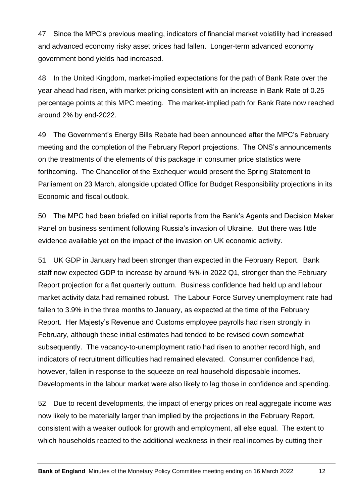47 Since the MPC's previous meeting, indicators of financial market volatility had increased and advanced economy risky asset prices had fallen. Longer-term advanced economy government bond yields had increased.

48 In the United Kingdom, market-implied expectations for the path of Bank Rate over the year ahead had risen, with market pricing consistent with an increase in Bank Rate of 0.25 percentage points at this MPC meeting. The market-implied path for Bank Rate now reached around 2% by end-2022.

49 The Government's Energy Bills Rebate had been announced after the MPC's February meeting and the completion of the February Report projections. The ONS's announcements on the treatments of the elements of this package in consumer price statistics were forthcoming. The Chancellor of the Exchequer would present the Spring Statement to Parliament on 23 March, alongside updated Office for Budget Responsibility projections in its Economic and fiscal outlook.

50 The MPC had been briefed on initial reports from the Bank's Agents and Decision Maker Panel on business sentiment following Russia's invasion of Ukraine. But there was little evidence available yet on the impact of the invasion on UK economic activity.

51 UK GDP in January had been stronger than expected in the February Report. Bank staff now expected GDP to increase by around ¾% in 2022 Q1, stronger than the February Report projection for a flat quarterly outturn. Business confidence had held up and labour market activity data had remained robust. The Labour Force Survey unemployment rate had fallen to 3.9% in the three months to January, as expected at the time of the February Report. Her Majesty's Revenue and Customs employee payrolls had risen strongly in February, although these initial estimates had tended to be revised down somewhat subsequently. The vacancy-to-unemployment ratio had risen to another record high, and indicators of recruitment difficulties had remained elevated. Consumer confidence had, however, fallen in response to the squeeze on real household disposable incomes. Developments in the labour market were also likely to lag those in confidence and spending.

52 Due to recent developments, the impact of energy prices on real aggregate income was now likely to be materially larger than implied by the projections in the February Report, consistent with a weaker outlook for growth and employment, all else equal. The extent to which households reacted to the additional weakness in their real incomes by cutting their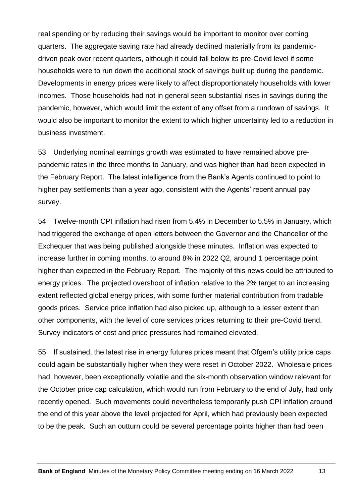real spending or by reducing their savings would be important to monitor over coming quarters. The aggregate saving rate had already declined materially from its pandemicdriven peak over recent quarters, although it could fall below its pre-Covid level if some households were to run down the additional stock of savings built up during the pandemic. Developments in energy prices were likely to affect disproportionately households with lower incomes. Those households had not in general seen substantial rises in savings during the pandemic, however, which would limit the extent of any offset from a rundown of savings. It would also be important to monitor the extent to which higher uncertainty led to a reduction in business investment.

53 Underlying nominal earnings growth was estimated to have remained above prepandemic rates in the three months to January, and was higher than had been expected in the February Report. The latest intelligence from the Bank's Agents continued to point to higher pay settlements than a year ago, consistent with the Agents' recent annual pay survey.

54 Twelve-month CPI inflation had risen from 5.4% in December to 5.5% in January, which had triggered the exchange of open letters between the Governor and the Chancellor of the Exchequer that was being published alongside these minutes. Inflation was expected to increase further in coming months, to around 8% in 2022 Q2, around 1 percentage point higher than expected in the February Report. The majority of this news could be attributed to energy prices. The projected overshoot of inflation relative to the 2% target to an increasing extent reflected global energy prices, with some further material contribution from tradable goods prices. Service price inflation had also picked up, although to a lesser extent than other components, with the level of core services prices returning to their pre-Covid trend. Survey indicators of cost and price pressures had remained elevated.

55 If sustained, the latest rise in energy futures prices meant that Ofgem's utility price caps could again be substantially higher when they were reset in October 2022. Wholesale prices had, however, been exceptionally volatile and the six-month observation window relevant for the October price cap calculation, which would run from February to the end of July, had only recently opened. Such movements could nevertheless temporarily push CPI inflation around the end of this year above the level projected for April, which had previously been expected to be the peak. Such an outturn could be several percentage points higher than had been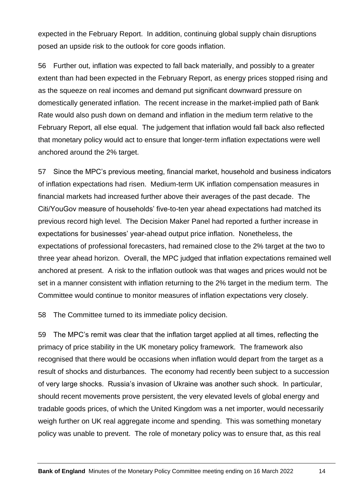expected in the February Report. In addition, continuing global supply chain disruptions posed an upside risk to the outlook for core goods inflation.

56 Further out, inflation was expected to fall back materially, and possibly to a greater extent than had been expected in the February Report, as energy prices stopped rising and as the squeeze on real incomes and demand put significant downward pressure on domestically generated inflation. The recent increase in the market-implied path of Bank Rate would also push down on demand and inflation in the medium term relative to the February Report, all else equal. The judgement that inflation would fall back also reflected that monetary policy would act to ensure that longer-term inflation expectations were well anchored around the 2% target.

57 Since the MPC's previous meeting, financial market, household and business indicators of inflation expectations had risen. Medium-term UK inflation compensation measures in financial markets had increased further above their averages of the past decade. The Citi/YouGov measure of households' five-to-ten year ahead expectations had matched its previous record high level. The Decision Maker Panel had reported a further increase in expectations for businesses' year-ahead output price inflation. Nonetheless, the expectations of professional forecasters, had remained close to the 2% target at the two to three year ahead horizon. Overall, the MPC judged that inflation expectations remained well anchored at present. A risk to the inflation outlook was that wages and prices would not be set in a manner consistent with inflation returning to the 2% target in the medium term. The Committee would continue to monitor measures of inflation expectations very closely.

58 The Committee turned to its immediate policy decision.

59 The MPC's remit was clear that the inflation target applied at all times, reflecting the primacy of price stability in the UK monetary policy framework. The framework also recognised that there would be occasions when inflation would depart from the target as a result of shocks and disturbances. The economy had recently been subject to a succession of very large shocks. Russia's invasion of Ukraine was another such shock. In particular, should recent movements prove persistent, the very elevated levels of global energy and tradable goods prices, of which the United Kingdom was a net importer, would necessarily weigh further on UK real aggregate income and spending. This was something monetary policy was unable to prevent. The role of monetary policy was to ensure that, as this real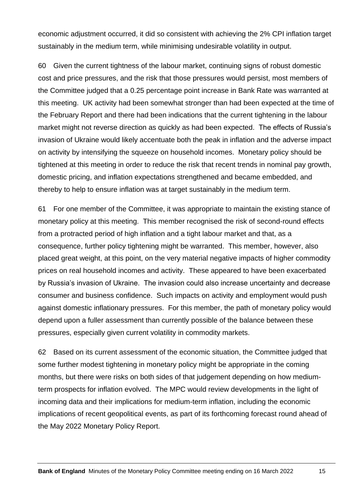economic adjustment occurred, it did so consistent with achieving the 2% CPI inflation target sustainably in the medium term, while minimising undesirable volatility in output.

60 Given the current tightness of the labour market, continuing signs of robust domestic cost and price pressures, and the risk that those pressures would persist, most members of the Committee judged that a 0.25 percentage point increase in Bank Rate was warranted at this meeting. UK activity had been somewhat stronger than had been expected at the time of the February Report and there had been indications that the current tightening in the labour market might not reverse direction as quickly as had been expected. The effects of Russia's invasion of Ukraine would likely accentuate both the peak in inflation and the adverse impact on activity by intensifying the squeeze on household incomes. Monetary policy should be tightened at this meeting in order to reduce the risk that recent trends in nominal pay growth, domestic pricing, and inflation expectations strengthened and became embedded, and thereby to help to ensure inflation was at target sustainably in the medium term.

61 For one member of the Committee, it was appropriate to maintain the existing stance of monetary policy at this meeting. This member recognised the risk of second-round effects from a protracted period of high inflation and a tight labour market and that, as a consequence, further policy tightening might be warranted. This member, however, also placed great weight, at this point, on the very material negative impacts of higher commodity prices on real household incomes and activity. These appeared to have been exacerbated by Russia's invasion of Ukraine. The invasion could also increase uncertainty and decrease consumer and business confidence. Such impacts on activity and employment would push against domestic inflationary pressures. For this member, the path of monetary policy would depend upon a fuller assessment than currently possible of the balance between these pressures, especially given current volatility in commodity markets.

62 Based on its current assessment of the economic situation, the Committee judged that some further modest tightening in monetary policy might be appropriate in the coming months, but there were risks on both sides of that judgement depending on how mediumterm prospects for inflation evolved. The MPC would review developments in the light of incoming data and their implications for medium-term inflation, including the economic implications of recent geopolitical events, as part of its forthcoming forecast round ahead of the May 2022 Monetary Policy Report.